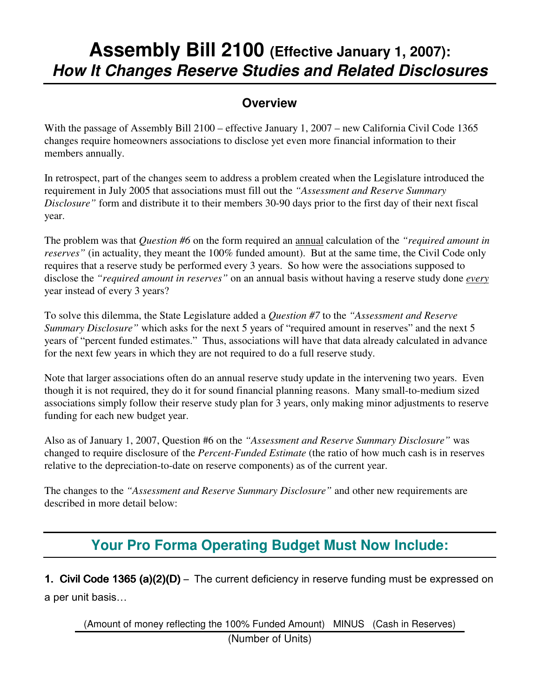# **Assembly Bill 2100 (Effective January 1, 2007): How It Changes Reserve Studies and Related Disclosures**

#### **Overview**

With the passage of Assembly Bill 2100 – effective January 1, 2007 – new California Civil Code 1365 changes require homeowners associations to disclose yet even more financial information to their members annually.

In retrospect, part of the changes seem to address a problem created when the Legislature introduced the requirement in July 2005 that associations must fill out the *"Assessment and Reserve Summary Disclosure"* form and distribute it to their members 30-90 days prior to the first day of their next fiscal year.

The problem was that *Question #6* on the form required an annual calculation of the *"required amount in reserves"* (in actuality, they meant the 100% funded amount). But at the same time, the Civil Code only requires that a reserve study be performed every 3 years. So how were the associations supposed to disclose the *"required amount in reserves"* on an annual basis without having a reserve study done *every* year instead of every 3 years?

To solve this dilemma, the State Legislature added a *Question #7* to the *"Assessment and Reserve Summary Disclosure*" which asks for the next 5 years of "required amount in reserves" and the next 5 years of "percent funded estimates." Thus, associations will have that data already calculated in advance for the next few years in which they are not required to do a full reserve study.

Note that larger associations often do an annual reserve study update in the intervening two years. Even though it is not required, they do it for sound financial planning reasons. Many small-to-medium sized associations simply follow their reserve study plan for 3 years, only making minor adjustments to reserve funding for each new budget year.

Also as of January 1, 2007, Question #6 on the *"Assessment and Reserve Summary Disclosure"* was changed to require disclosure of the *Percent-Funded Estimate* (the ratio of how much cash is in reserves relative to the depreciation-to-date on reserve components) as of the current year.

The changes to the *"Assessment and Reserve Summary Disclosure"* and other new requirements are described in more detail below:

## **Your Pro Forma Operating Budget Must Now Include:**

1. Civil Code 1365 (a)(2)(D) - The current deficiency in reserve funding must be expressed on a per unit basis…

(Amount of money reflecting the 100% Funded Amount) MINUS (Cash in Reserves)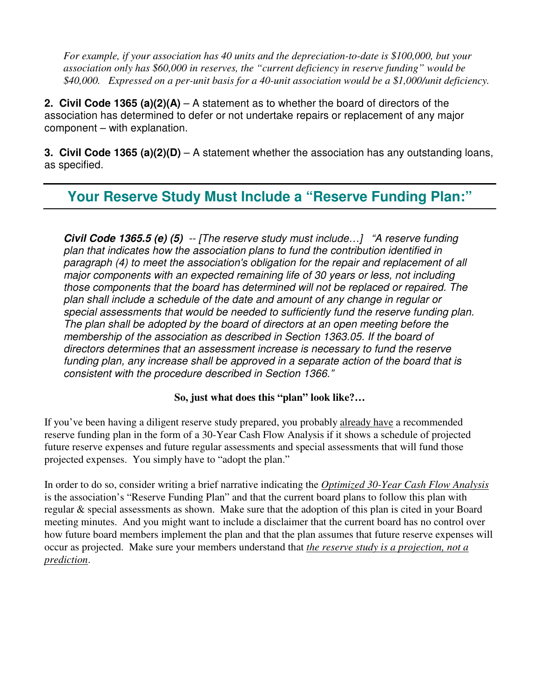*For example, if your association has 40 units and the depreciation-to-date is \$100,000, but your association only has \$60,000 in reserves, the "current deficiency in reserve funding" would be \$40,000. Expressed on a per-unit basis for a 40-unit association would be a \$1,000/unit deficiency.* 

**2. Civil Code 1365 (a)(2)(A)** – A statement as to whether the board of directors of the association has determined to defer or not undertake repairs or replacement of any major component – with explanation.

**3. Civil Code 1365 (a)(2)(D)** – A statement whether the association has any outstanding loans, as specified.

#### **Your Reserve Study Must Include a "Reserve Funding Plan:"**

**Civil Code 1365.5 (e) (5)** -- [The reserve study must include…] "A reserve funding plan that indicates how the association plans to fund the contribution identified in paragraph (4) to meet the association's obligation for the repair and replacement of all major components with an expected remaining life of 30 years or less, not including those components that the board has determined will not be replaced or repaired. The plan shall include a schedule of the date and amount of any change in regular or special assessments that would be needed to sufficiently fund the reserve funding plan. The plan shall be adopted by the board of directors at an open meeting before the membership of the association as described in Section 1363.05. If the board of directors determines that an assessment increase is necessary to fund the reserve funding plan, any increase shall be approved in a separate action of the board that is consistent with the procedure described in Section 1366."

#### **So, just what does this "plan" look like?…**

If you've been having a diligent reserve study prepared, you probably already have a recommended reserve funding plan in the form of a 30-Year Cash Flow Analysis if it shows a schedule of projected future reserve expenses and future regular assessments and special assessments that will fund those projected expenses. You simply have to "adopt the plan."

In order to do so, consider writing a brief narrative indicating the *Optimized 30-Year Cash Flow Analysis* is the association's "Reserve Funding Plan" and that the current board plans to follow this plan with regular & special assessments as shown. Make sure that the adoption of this plan is cited in your Board meeting minutes. And you might want to include a disclaimer that the current board has no control over how future board members implement the plan and that the plan assumes that future reserve expenses will occur as projected. Make sure your members understand that *the reserve study is a projection, not a prediction*.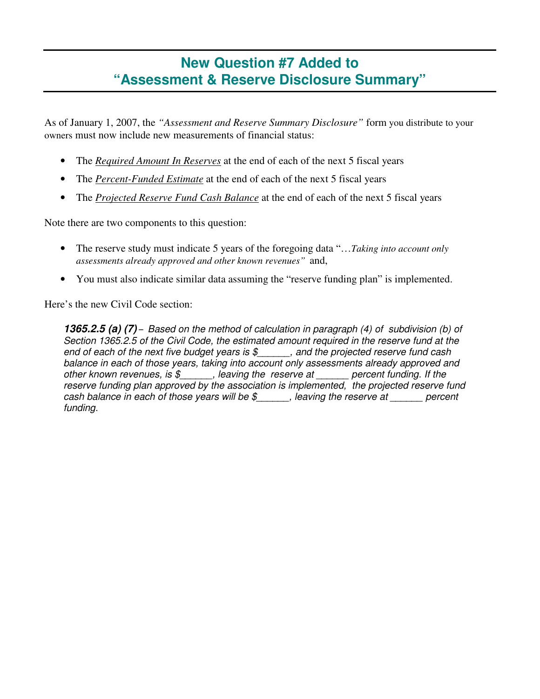### **New Question #7 Added to "Assessment & Reserve Disclosure Summary"**

As of January 1, 2007, the *"Assessment and Reserve Summary Disclosure"* form you distribute to your owners must now include new measurements of financial status:

- The *Required Amount In Reserves* at the end of each of the next 5 fiscal years
- The *Percent-Funded Estimate* at the end of each of the next 5 fiscal years
- The *Projected Reserve Fund Cash Balance* at the end of each of the next 5 fiscal years

Note there are two components to this question:

- The reserve study must indicate 5 years of the foregoing data "…*Taking into account only assessments already approved and other known revenues"* and,
- You must also indicate similar data assuming the "reserve funding plan" is implemented.

Here's the new Civil Code section:

**1365.2.5 (a) (7)** – Based on the method of calculation in paragraph (4) of subdivision (b) of Section 1365.2.5 of the Civil Code, the estimated amount required in the reserve fund at the end of each of the next five budget years is  $\frac{1}{2}$  and the projected reserve fund cash balance in each of those years, taking into account only assessments already approved and other known revenues, is  $\frac{1}{2}$ , leaving the reserve at percent funding. If the reserve funding plan approved by the association is implemented, the projected reserve fund cash balance in each of those years will be  $\frac{1}{2}$ , leaving the reserve at \_\_\_\_\_ percent funding.